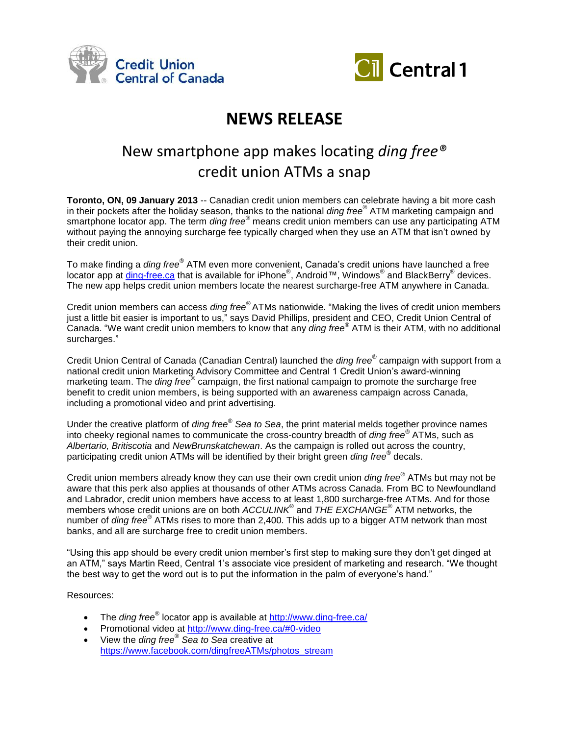



# **NEWS RELEASE**

# New smartphone app makes locating *ding free®*  credit union ATMs a snap

**Toronto, ON, 09 January 2013** -- Canadian credit union members can celebrate having a bit more cash in their pockets after the holiday season, thanks to the national *ding free®* ATM marketing campaign and smartphone locator app. The term *ding free®* means credit union members can use any participating ATM without paying the annoying surcharge fee typically charged when they use an ATM that isn't owned by their credit union.

To make finding a *ding free®* ATM even more convenient, Canada's credit unions have launched a free locator app at *ding-free.ca* that is available for iPhone®, Android™, Windows® and BlackBerry® devices. The new app helps credit union members locate the nearest surcharge-free ATM anywhere in Canada.

Credit union members can access *ding free®* ATMs nationwide. "Making the lives of credit union members just a little bit easier is important to us," says David Phillips, president and CEO, Credit Union Central of Canada. "We want credit union members to know that any *ding free®* ATM is their ATM, with no additional surcharges."

Credit Union Central of Canada (Canadian Central) launched the *ding free®* campaign with support from a national credit union Marketing Advisory Committee and Central 1 Credit Union's award-winning marketing team. The *ding free®* campaign, the first national campaign to promote the surcharge free benefit to credit union members, is being supported with an awareness campaign across Canada, including a promotional video and print advertising.

Under the creative platform of *ding free® Sea to Sea*, the print material melds together province names into cheeky regional names to communicate the cross-country breadth of *ding free®* ATMs, such as *Albertario, Britiscotia* and *NewBrunskatchewan*. As the campaign is rolled out across the country, participating credit union ATMs will be identified by their bright green *ding free®* decals.

Credit union members already know they can use their own credit union *ding free®* ATMs but may not be aware that this perk also applies at thousands of other ATMs across Canada. From BC to Newfoundland and Labrador, credit union members have access to at least 1,800 surcharge-free ATMs. And for those members whose credit unions are on both *ACCULINK*® and *THE EXCHANGE®* ATM networks, the number of *ding free*<sup>®</sup> ATMs rises to more than 2,400. This adds up to a bigger ATM network than most banks, and all are surcharge free to credit union members.

"Using this app should be every credit union member's first step to making sure they don't get dinged at an ATM," says Martin Reed, Central 1's associate vice president of marketing and research. "We thought the best way to get the word out is to put the information in the palm of everyone's hand."

Resources:

- The *ding free®* locator app is available at<http://www.ding-free.ca/>
- Promotional video at<http://www.ding-free.ca/#0-video>
- View the *ding free® Sea to Sea* creative at [https://www.facebook.com/dingfreeATMs/photos\\_stream](https://www.facebook.com/dingfreeATMs/photos_stream)